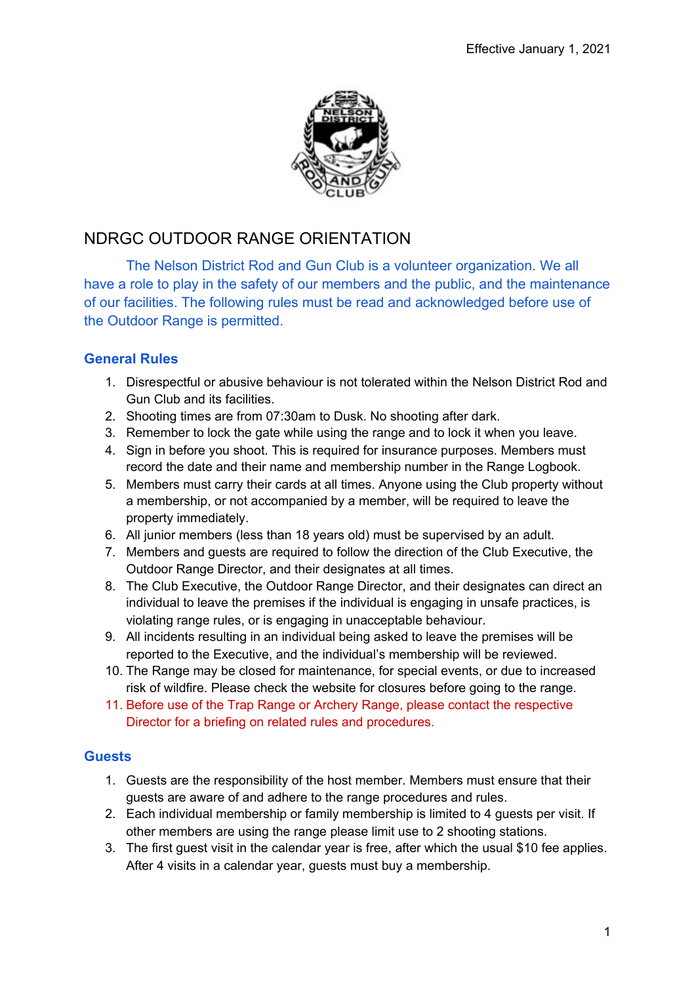

# NDRGC OUTDOOR RANGE ORIENTATION

The Nelson District Rod and Gun Club is a volunteer organization. We all have a role to play in the safety of our members and the public, and the maintenance of our facilities. The following rules must be read and acknowledged before use of the Outdoor Range is permitted.

## **General Rules**

- 1. Disrespectful or abusive behaviour is not tolerated within the Nelson District Rod and Gun Club and its facilities.
- 2. Shooting times are from 07:30am to Dusk. No shooting after dark.
- 3. Remember to lock the gate while using the range and to lock it when you leave.
- 4. Sign in before you shoot. This is required for insurance purposes. Members must record the date and their name and membership number in the Range Logbook.
- 5. Members must carry their cards at all times. Anyone using the Club property without a membership, or not accompanied by a member, will be required to leave the property immediately.
- 6. All junior members (less than 18 years old) must be supervised by an adult.
- 7. Members and guests are required to follow the direction of the Club Executive, the Outdoor Range Director, and their designates at all times.
- 8. The Club Executive, the Outdoor Range Director, and their designates can direct an individual to leave the premises if the individual is engaging in unsafe practices, is violating range rules, or is engaging in unacceptable behaviour.
- 9. All incidents resulting in an individual being asked to leave the premises will be reported to the Executive, and the individual's membership will be reviewed.
- 10. The Range may be closed for maintenance, for special events, or due to increased risk of wildfire. Please check the website for closures before going to the range.
- 11. Before use of the Trap Range or Archery Range, please contact the respective Director for a briefing on related rules and procedures.

### **Guests**

- 1. Guests are the responsibility of the host member. Members must ensure that their guests are aware of and adhere to the range procedures and rules.
- 2. Each individual membership or family membership is limited to 4 guests per visit. If other members are using the range please limit use to 2 shooting stations.
- 3. The first guest visit in the calendar year is free, after which the usual \$10 fee applies. After 4 visits in a calendar year, guests must buy a membership.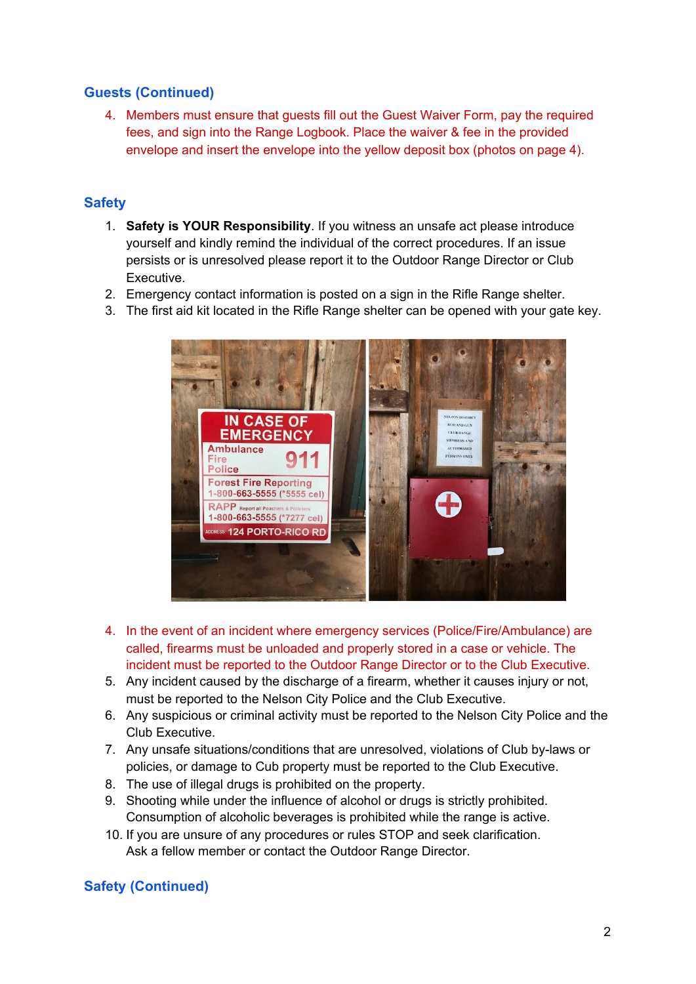## **Guests (Continued)**

4. Members must ensure that guests fill out the Guest Waiver Form, pay the required fees, and sign into the Range Logbook. Place the waiver & fee in the provided envelope and insert the envelope into the yellow deposit box (photos on page 4).

## **Safety**

- 1. **Safety is YOUR Responsibility**. If you witness an unsafe act please introduce yourself and kindly remind the individual of the correct procedures. If an issue persists or is unresolved please report it to the Outdoor Range Director or Club Executive.
- 2. Emergency contact information is posted on a sign in the Rifle Range shelter.
- 3. The first aid kit located in the Rifle Range shelter can be opened with your gate key.



- 4. In the event of an incident where emergency services (Police/Fire/Ambulance) are called, firearms must be unloaded and properly stored in a case or vehicle. The incident must be reported to the Outdoor Range Director or to the Club Executive.
- 5. Any incident caused by the discharge of a firearm, whether it causes injury or not, must be reported to the Nelson City Police and the Club Executive.
- 6. Any suspicious or criminal activity must be reported to the Nelson City Police and the Club Executive.
- 7. Any unsafe situations/conditions that are unresolved, violations of Club by-laws or policies, or damage to Cub property must be reported to the Club Executive.
- 8. The use of illegal drugs is prohibited on the property.
- 9. Shooting while under the influence of alcohol or drugs is strictly prohibited. Consumption of alcoholic beverages is prohibited while the range is active.
- 10. If you are unsure of any procedures or rules STOP and seek clarification. Ask a fellow member or contact the Outdoor Range Director.

## **Safety (Continued)**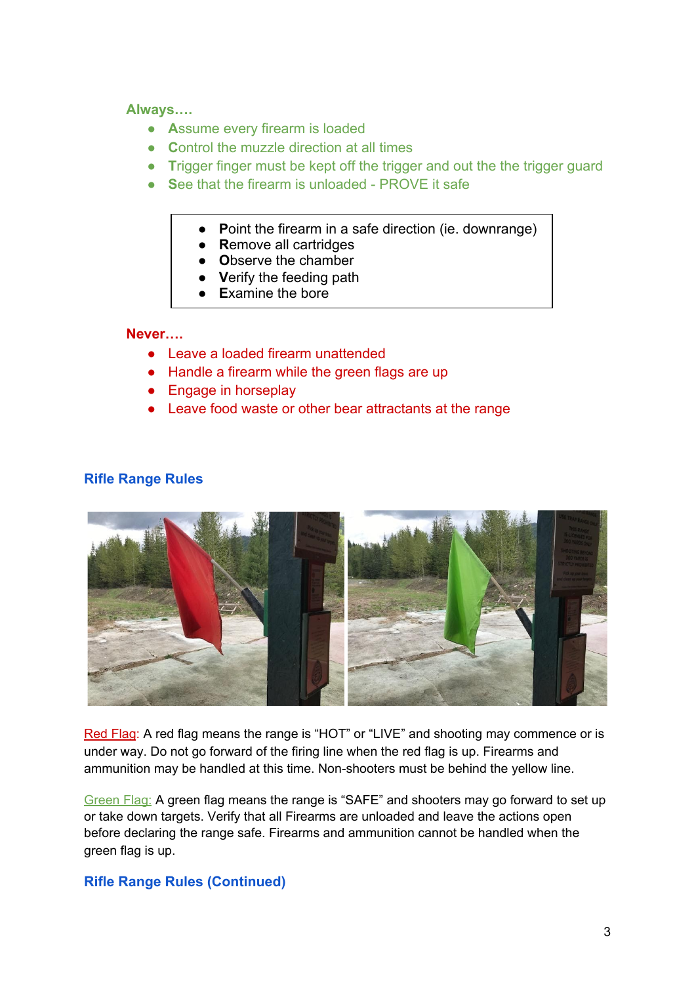#### **Always….**

- **A**ssume every firearm is loaded
- **C**ontrol the muzzle direction at all times
- **T**rigger finger must be kept off the trigger and out the the trigger guard
- **S**ee that the firearm is unloaded PROVE it safe
	- **● P**oint the firearm in a safe direction (ie. downrange)
	- **● R**emove all cartridges
	- **● O**bserve the chamber
	- **● V**erify the feeding path
	- **Examine the bore**

### **Never….**

- Leave a loaded firearm unattended
- Handle a firearm while the green flags are up
- Engage in horseplay
- Leave food waste or other bear attractants at the range

#### **Rifle Range Rules**



Red Flag: A red flag means the range is "HOT" or "LIVE" and shooting may commence or is under way. Do not go forward of the firing line when the red flag is up. Firearms and ammunition may be handled at this time. Non-shooters must be behind the yellow line.

Green Flag: A green flag means the range is "SAFE" and shooters may go forward to set up or take down targets. Verify that all Firearms are unloaded and leave the actions open before declaring the range safe. Firearms and ammunition cannot be handled when the green flag is up.

#### **Rifle Range Rules (Continued)**